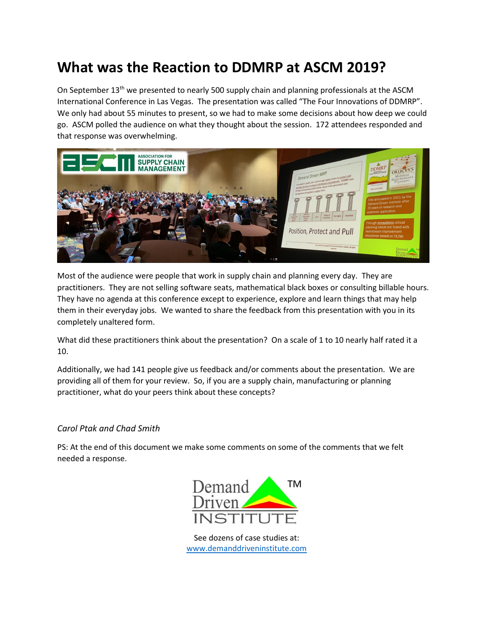## **What was the Reaction to DDMRP at ASCM 2019?**

On September 13th we presented to nearly 500 supply chain and planning professionals at the ASCM International Conference in Las Vegas. The presentation was called "The Four Innovations of DDMRP". We only had about 55 minutes to present, so we had to make some decisions about how deep we could go. ASCM polled the audience on what they thought about the session. 172 attendees responded and that response was overwhelming.



Most of the audience were people that work in supply chain and planning every day. They are practitioners. They are not selling software seats, mathematical black boxes or consulting billable hours. They have no agenda at this conference except to experience, explore and learn things that may help them in their everyday jobs. We wanted to share the feedback from this presentation with you in its completely unaltered form.

What did these practitioners think about the presentation? On a scale of 1 to 10 nearly half rated it a 10.

Additionally, we had 141 people give us feedback and/or comments about the presentation. We are providing all of them for your review. So, if you are a supply chain, manufacturing or planning practitioner, what do your peers think about these concepts?

## *Carol Ptak and Chad Smith*

PS: At the end of this document we make some comments on some of the comments that we felt needed a response.



See dozens of case studies at: [www.demanddriveninstitute.com](http://www.demanddriveninstitute.com/)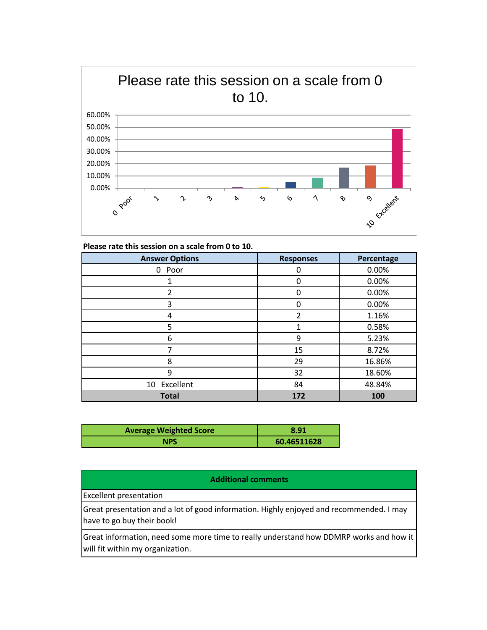

| Please rate this session on a scale from 0 to 10. |                  |            |
|---------------------------------------------------|------------------|------------|
| <b>Answer Options</b>                             | <b>Responses</b> | Percentage |
| 0 Poor                                            | 0                | 0.00%      |
|                                                   | 0                | 0.00%      |
| $\mathfrak z$                                     | 0                | 0.00%      |
| 3                                                 | 0                | 0.00%      |
| 4                                                 | $\overline{2}$   | 1.16%      |
| 5                                                 | 1                | 0.58%      |
| 6                                                 | 9                | 5.23%      |
|                                                   | 15               | 8.72%      |
| 8                                                 | 29               | 16.86%     |
| 9                                                 | 32               | 18.60%     |
| 10 Excellent                                      | 84               | 48.84%     |
| <b>Total</b>                                      | 172              | 100        |

| <b>Average Weighted Score</b> | 8.91        |
|-------------------------------|-------------|
| <b>NPS</b>                    | 60.46511628 |

## **Additional comments**

Excellent presentation

Great presentation and a lot of good information. Highly enjoyed and recommended. I may have to go buy their book!

Great information, need some more time to really understand how DDMRP works and how it will fit within my organization.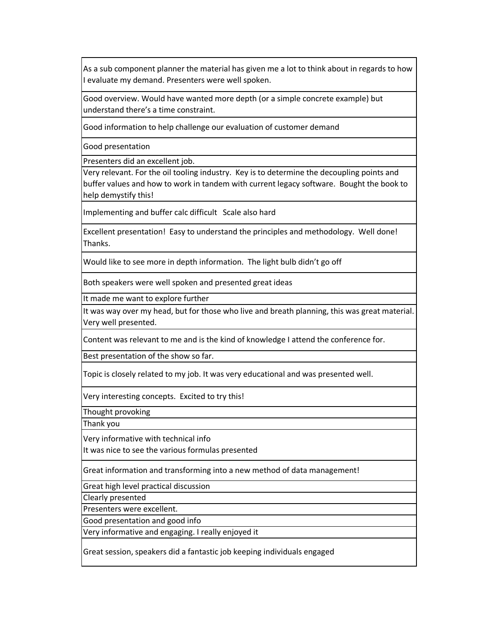As a sub component planner the material has given me a lot to think about in regards to how I evaluate my demand. Presenters were well spoken.

Good overview. Would have wanted more depth (or a simple concrete example) but understand there's a time constraint.

Good information to help challenge our evaluation of customer demand

Good presentation

Presenters did an excellent job.

Very relevant. For the oil tooling industry. Key is to determine the decoupling points and buffer values and how to work in tandem with current legacy software. Bought the book to help demystify this!

Implementing and buffer calc difficult Scale also hard

Excellent presentation! Easy to understand the principles and methodology. Well done! Thanks.

Would like to see more in depth information. The light bulb didn't go off

Both speakers were well spoken and presented great ideas

It made me want to explore further

It was way over my head, but for those who live and breath planning, this was great material. Very well presented.

Content was relevant to me and is the kind of knowledge I attend the conference for.

Best presentation of the show so far.

Topic is closely related to my job. It was very educational and was presented well.

Very interesting concepts. Excited to try this!

Thought provoking

Thank you

Very informative with technical info

It was nice to see the various formulas presented

Great information and transforming into a new method of data management!

Great high level practical discussion

Clearly presented

Presenters were excellent.

Good presentation and good info

Very informative and engaging. I really enjoyed it

Great session, speakers did a fantastic job keeping individuals engaged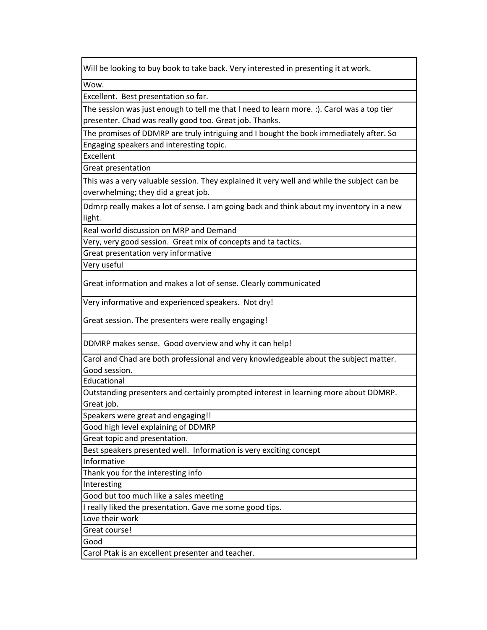Will be looking to buy book to take back. Very interested in presenting it at work.

Wow.

Excellent. Best presentation so far.

The session was just enough to tell me that I need to learn more. :). Carol was a top tier presenter. Chad was really good too. Great job. Thanks.

Engaging speakers and interesting topic. The promises of DDMRP are truly intriguing and I bought the book immediately after. So

Excellent

Great presentation

This was a very valuable session. They explained it very well and while the subject can be overwhelming; they did a great job.

Ddmrp really makes a lot of sense. I am going back and think about my inventory in a new light.

Real world discussion on MRP and Demand

Very, very good session. Great mix of concepts and ta tactics.

Great presentation very informative

Very useful

Great information and makes a lot of sense. Clearly communicated

Very informative and experienced speakers. Not dry!

Great session. The presenters were really engaging!

DDMRP makes sense. Good overview and why it can help!

Carol and Chad are both professional and very knowledgeable about the subject matter. Good session.

Educational

Outstanding presenters and certainly prompted interest in learning more about DDMRP. Great job.

Speakers were great and engaging!!

Good high level explaining of DDMRP

Great topic and presentation.

Best speakers presented well. Information is very exciting concept

Informative

Thank you for the interesting info

Interesting

Good but too much like a sales meeting

I really liked the presentation. Gave me some good tips.

Love their work

Great course!

Good

Carol Ptak is an excellent presenter and teacher.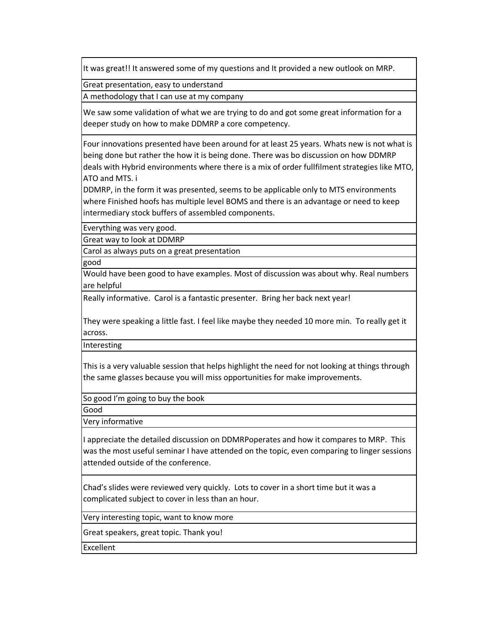It was great!! It answered some of my questions and It provided a new outlook on MRP.

Great presentation, easy to understand

A methodology that I can use at my company

We saw some validation of what we are trying to do and got some great information for a deeper study on how to make DDMRP a core competency.

Four innovations presented have been around for at least 25 years. Whats new is not what is being done but rather the how it is being done. There was bo discussion on how DDMRP deals with Hybrid environments where there is a mix of order fullfilment strategies like MTO, ATO and MTS. i

DDMRP, in the form it was presented, seems to be applicable only to MTS environments where Finished hoofs has multiple level BOMS and there is an advantage or need to keep intermediary stock buffers of assembled components.

Everything was very good.

Great way to look at DDMRP

Carol as always puts on a great presentation

good

Would have been good to have examples. Most of discussion was about why. Real numbers are helpful

Really informative. Carol is a fantastic presenter. Bring her back next year!

They were speaking a little fast. I feel like maybe they needed 10 more min. To really get it across.

Interesting

This is a very valuable session that helps highlight the need for not looking at things through the same glasses because you will miss opportunities for make improvements.

So good I'm going to buy the book

Good

Very informative

I appreciate the detailed discussion on DDMRPoperates and how it compares to MRP. This was the most useful seminar I have attended on the topic, even comparing to linger sessions attended outside of the conference.

Chad's slides were reviewed very quickly. Lots to cover in a short time but it was a complicated subject to cover in less than an hour.

Very interesting topic, want to know more

Great speakers, great topic. Thank you!

Excellent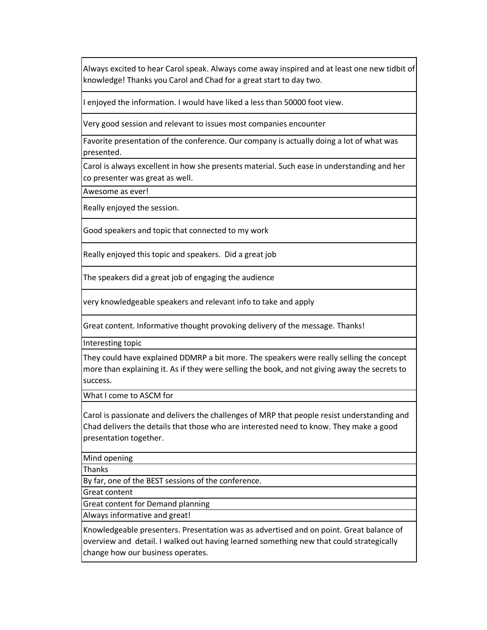Always excited to hear Carol speak. Always come away inspired and at least one new tidbit of knowledge! Thanks you Carol and Chad for a great start to day two.

I enjoyed the information. I would have liked a less than 50000 foot view.

Very good session and relevant to issues most companies encounter

Favorite presentation of the conference. Our company is actually doing a lot of what was presented.

Carol is always excellent in how she presents material. Such ease in understanding and her co presenter was great as well.

Awesome as ever!

Really enjoyed the session.

Good speakers and topic that connected to my work

Really enjoyed this topic and speakers. Did a great job

The speakers did a great job of engaging the audience

very knowledgeable speakers and relevant info to take and apply

Great content. Informative thought provoking delivery of the message. Thanks!

Interesting topic

They could have explained DDMRP a bit more. The speakers were really selling the concept more than explaining it. As if they were selling the book, and not giving away the secrets to success.

What I come to ASCM for

Carol is passionate and delivers the challenges of MRP that people resist understanding and Chad delivers the details that those who are interested need to know. They make a good presentation together.

Mind opening

Thanks

By far, one of the BEST sessions of the conference.

Great content

Great content for Demand planning

Always informative and great!

Knowledgeable presenters. Presentation was as advertised and on point. Great balance of overview and detail. I walked out having learned something new that could strategically change how our business operates.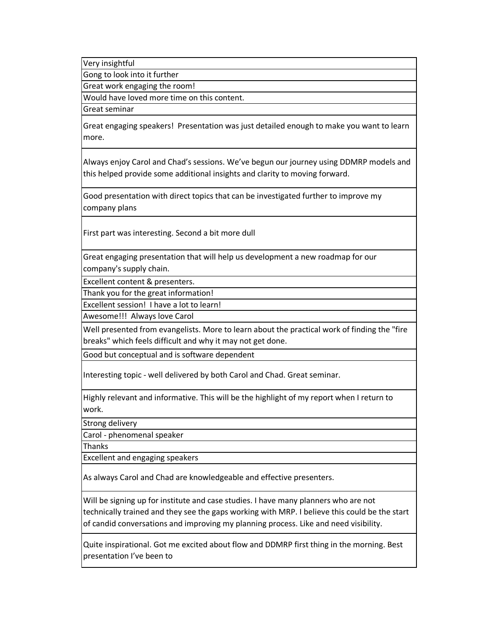Very insightful

Gong to look into it further

Great work engaging the room!

Would have loved more time on this content.

Great seminar

Great engaging speakers! Presentation was just detailed enough to make you want to learn more.

Always enjoy Carol and Chad's sessions. We've begun our journey using DDMRP models and this helped provide some additional insights and clarity to moving forward.

Good presentation with direct topics that can be investigated further to improve my company plans

First part was interesting. Second a bit more dull

Great engaging presentation that will help us development a new roadmap for our company's supply chain.

Excellent content & presenters.

Thank you for the great information!

Excellent session! I have a lot to learn!

Awesome!!! Always love Carol

Well presented from evangelists. More to learn about the practical work of finding the "fire breaks" which feels difficult and why it may not get done.

Good but conceptual and is software dependent

Interesting topic - well delivered by both Carol and Chad. Great seminar.

Highly relevant and informative. This will be the highlight of my report when I return to work.

Strong delivery

Carol - phenomenal speaker

Thanks

Excellent and engaging speakers

As always Carol and Chad are knowledgeable and effective presenters.

Will be signing up for institute and case studies. I have many planners who are not technically trained and they see the gaps working with MRP. I believe this could be the start of candid conversations and improving my planning process. Like and need visibility.

Quite inspirational. Got me excited about flow and DDMRP first thing in the morning. Best presentation I've been to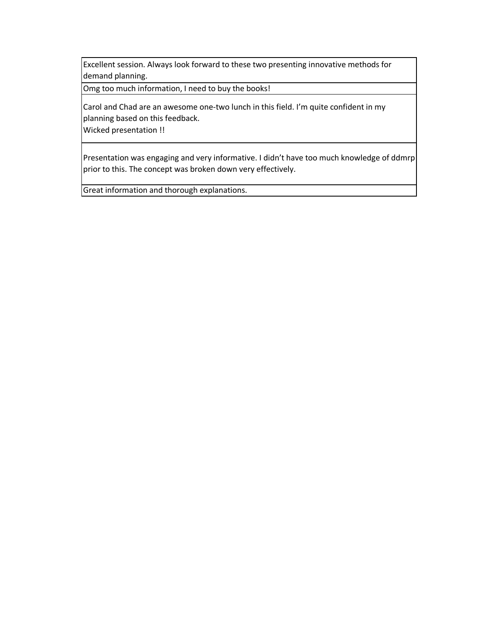Excellent session. Always look forward to these two presenting innovative methods for demand planning.

Omg too much information, I need to buy the books!

Carol and Chad are an awesome one-two lunch in this field. I'm quite confident in my planning based on this feedback.

Wicked presentation !!

Presentation was engaging and very informative. I didn't have too much knowledge of ddmrp prior to this. The concept was broken down very effectively.

Great information and thorough explanations.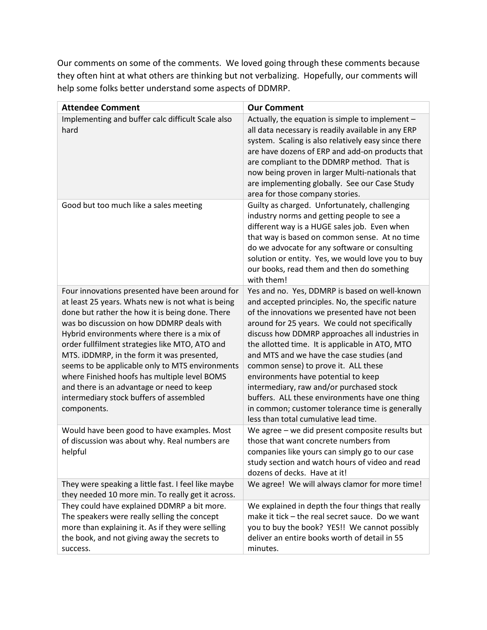Our comments on some of the comments. We loved going through these comments because they often hint at what others are thinking but not verbalizing. Hopefully, our comments will help some folks better understand some aspects of DDMRP.

| <b>Attendee Comment</b>                                                                                                                                                                                                                                                                                                                                                                                                                                                                                                                                       | <b>Our Comment</b>                                                                                                                                                                                                                                                                                                                                                                                                                                                                                                                                                                                                              |
|---------------------------------------------------------------------------------------------------------------------------------------------------------------------------------------------------------------------------------------------------------------------------------------------------------------------------------------------------------------------------------------------------------------------------------------------------------------------------------------------------------------------------------------------------------------|---------------------------------------------------------------------------------------------------------------------------------------------------------------------------------------------------------------------------------------------------------------------------------------------------------------------------------------------------------------------------------------------------------------------------------------------------------------------------------------------------------------------------------------------------------------------------------------------------------------------------------|
| Implementing and buffer calc difficult Scale also<br>hard                                                                                                                                                                                                                                                                                                                                                                                                                                                                                                     | Actually, the equation is simple to implement -<br>all data necessary is readily available in any ERP<br>system. Scaling is also relatively easy since there<br>are have dozens of ERP and add-on products that<br>are compliant to the DDMRP method. That is<br>now being proven in larger Multi-nationals that<br>are implementing globally. See our Case Study<br>area for those company stories.                                                                                                                                                                                                                            |
| Good but too much like a sales meeting                                                                                                                                                                                                                                                                                                                                                                                                                                                                                                                        | Guilty as charged. Unfortunately, challenging<br>industry norms and getting people to see a<br>different way is a HUGE sales job. Even when<br>that way is based on common sense. At no time<br>do we advocate for any software or consulting<br>solution or entity. Yes, we would love you to buy<br>our books, read them and then do something<br>with them!                                                                                                                                                                                                                                                                  |
| Four innovations presented have been around for<br>at least 25 years. Whats new is not what is being<br>done but rather the how it is being done. There<br>was bo discussion on how DDMRP deals with<br>Hybrid environments where there is a mix of<br>order fullfilment strategies like MTO, ATO and<br>MTS. iDDMRP, in the form it was presented,<br>seems to be applicable only to MTS environments<br>where Finished hoofs has multiple level BOMS<br>and there is an advantage or need to keep<br>intermediary stock buffers of assembled<br>components. | Yes and no. Yes, DDMRP is based on well-known<br>and accepted principles. No, the specific nature<br>of the innovations we presented have not been<br>around for 25 years. We could not specifically<br>discuss how DDMRP approaches all industries in<br>the allotted time. It is applicable in ATO, MTO<br>and MTS and we have the case studies (and<br>common sense) to prove it. ALL these<br>environments have potential to keep<br>intermediary, raw and/or purchased stock<br>buffers. ALL these environments have one thing<br>in common; customer tolerance time is generally<br>less than total cumulative lead time. |
| Would have been good to have examples. Most<br>of discussion was about why. Real numbers are<br>helpful                                                                                                                                                                                                                                                                                                                                                                                                                                                       | We agree - we did present composite results but<br>those that want concrete numbers from<br>companies like yours can simply go to our case<br>study section and watch hours of video and read<br>dozens of decks. Have at it!                                                                                                                                                                                                                                                                                                                                                                                                   |
| They were speaking a little fast. I feel like maybe<br>they needed 10 more min. To really get it across.                                                                                                                                                                                                                                                                                                                                                                                                                                                      | We agree! We will always clamor for more time!                                                                                                                                                                                                                                                                                                                                                                                                                                                                                                                                                                                  |
| They could have explained DDMRP a bit more.<br>The speakers were really selling the concept<br>more than explaining it. As if they were selling<br>the book, and not giving away the secrets to<br>success.                                                                                                                                                                                                                                                                                                                                                   | We explained in depth the four things that really<br>make it tick - the real secret sauce. Do we want<br>you to buy the book? YES!! We cannot possibly<br>deliver an entire books worth of detail in 55<br>minutes.                                                                                                                                                                                                                                                                                                                                                                                                             |